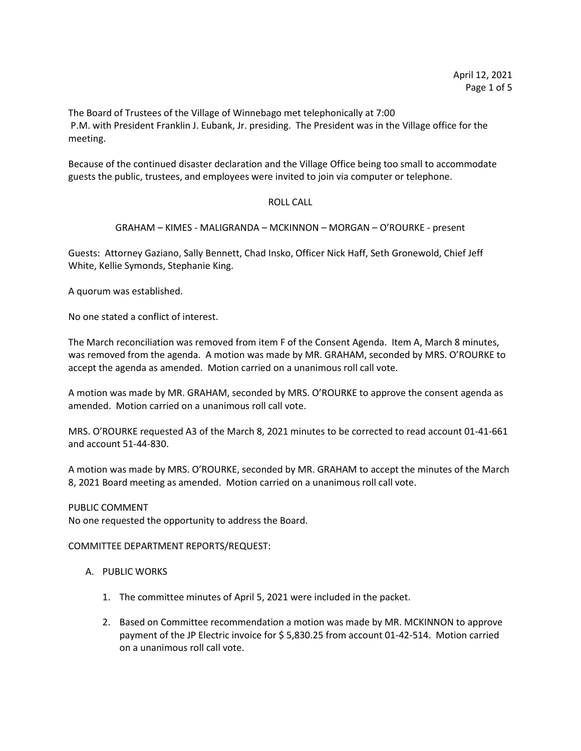The Board of Trustees of the Village of Winnebago met telephonically at 7:00 P.M. with President Franklin J. Eubank, Jr. presiding. The President was in the Village office for the meeting.

Because of the continued disaster declaration and the Village Office being too small to accommodate guests the public, trustees, and employees were invited to join via computer or telephone.

### ROLL CALL

GRAHAM – KIMES - MALIGRANDA – MCKINNON – MORGAN – O'ROURKE - present

Guests: Attorney Gaziano, Sally Bennett, Chad Insko, Officer Nick Haff, Seth Gronewold, Chief Jeff White, Kellie Symonds, Stephanie King.

A quorum was established.

No one stated a conflict of interest.

The March reconciliation was removed from item F of the Consent Agenda. Item A, March 8 minutes, was removed from the agenda. A motion was made by MR. GRAHAM, seconded by MRS. O'ROURKE to accept the agenda as amended. Motion carried on a unanimous roll call vote.

A motion was made by MR. GRAHAM, seconded by MRS. O'ROURKE to approve the consent agenda as amended. Motion carried on a unanimous roll call vote.

MRS. O'ROURKE requested A3 of the March 8, 2021 minutes to be corrected to read account 01-41-661 and account 51-44-830.

A motion was made by MRS. O'ROURKE, seconded by MR. GRAHAM to accept the minutes of the March 8, 2021 Board meeting as amended. Motion carried on a unanimous roll call vote.

### PUBLIC COMMENT

No one requested the opportunity to address the Board.

COMMITTEE DEPARTMENT REPORTS/REQUEST:

- A. PUBLIC WORKS
	- 1. The committee minutes of April 5, 2021 were included in the packet.
	- 2. Based on Committee recommendation a motion was made by MR. MCKINNON to approve payment of the JP Electric invoice for \$ 5,830.25 from account 01-42-514. Motion carried on a unanimous roll call vote.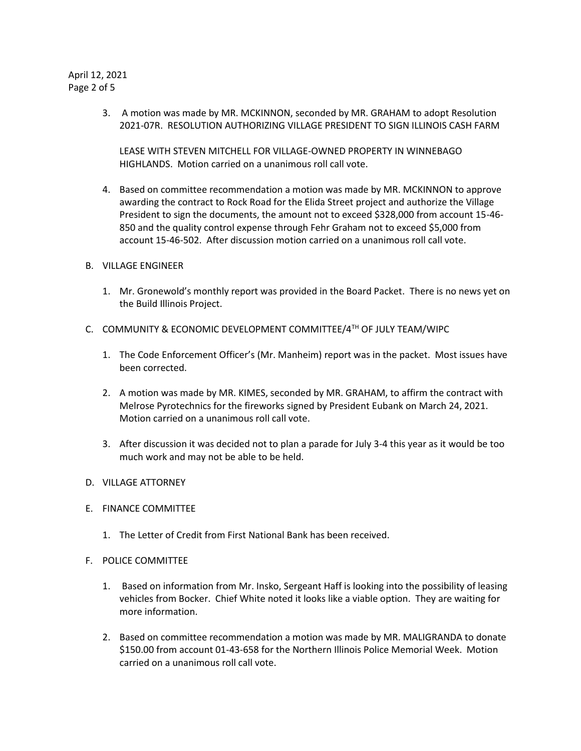# April 12, 2021 Page 2 of 5

3. A motion was made by MR. MCKINNON, seconded by MR. GRAHAM to adopt Resolution 2021-07R. RESOLUTION AUTHORIZING VILLAGE PRESIDENT TO SIGN ILLINOIS CASH FARM

LEASE WITH STEVEN MITCHELL FOR VILLAGE-OWNED PROPERTY IN WINNEBAGO HIGHLANDS. Motion carried on a unanimous roll call vote.

- 4. Based on committee recommendation a motion was made by MR. MCKINNON to approve awarding the contract to Rock Road for the Elida Street project and authorize the Village President to sign the documents, the amount not to exceed \$328,000 from account 15-46- 850 and the quality control expense through Fehr Graham not to exceed \$5,000 from account 15-46-502. After discussion motion carried on a unanimous roll call vote.
- B. VILLAGE ENGINEER
	- 1. Mr. Gronewold's monthly report was provided in the Board Packet. There is no news yet on the Build Illinois Project.
- C. COMMUNITY & ECONOMIC DEVELOPMENT COMMITTEE/4TH OF JULY TEAM/WIPC
	- 1. The Code Enforcement Officer's (Mr. Manheim) report was in the packet. Most issues have been corrected.
	- 2. A motion was made by MR. KIMES, seconded by MR. GRAHAM, to affirm the contract with Melrose Pyrotechnics for the fireworks signed by President Eubank on March 24, 2021. Motion carried on a unanimous roll call vote.
	- 3. After discussion it was decided not to plan a parade for July 3-4 this year as it would be too much work and may not be able to be held.
- D. VILLAGE ATTORNEY
- E. FINANCE COMMITTEE
	- 1. The Letter of Credit from First National Bank has been received.
- F. POLICE COMMITTEE
	- 1. Based on information from Mr. Insko, Sergeant Haff is looking into the possibility of leasing vehicles from Bocker. Chief White noted it looks like a viable option. They are waiting for more information.
	- 2. Based on committee recommendation a motion was made by MR. MALIGRANDA to donate \$150.00 from account 01-43-658 for the Northern Illinois Police Memorial Week. Motion carried on a unanimous roll call vote.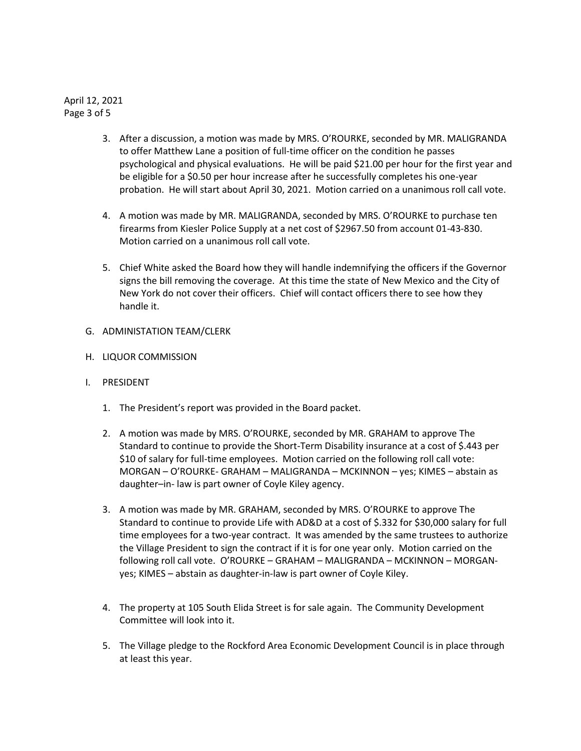April 12, 2021 Page 3 of 5

- 3. After a discussion, a motion was made by MRS. O'ROURKE, seconded by MR. MALIGRANDA to offer Matthew Lane a position of full-time officer on the condition he passes psychological and physical evaluations. He will be paid \$21.00 per hour for the first year and be eligible for a \$0.50 per hour increase after he successfully completes his one-year probation. He will start about April 30, 2021. Motion carried on a unanimous roll call vote.
- 4. A motion was made by MR. MALIGRANDA, seconded by MRS. O'ROURKE to purchase ten firearms from Kiesler Police Supply at a net cost of \$2967.50 from account 01-43-830. Motion carried on a unanimous roll call vote.
- 5. Chief White asked the Board how they will handle indemnifying the officers if the Governor signs the bill removing the coverage. At this time the state of New Mexico and the City of New York do not cover their officers. Chief will contact officers there to see how they handle it.
- G. ADMINISTATION TEAM/CLERK
- H. LIQUOR COMMISSION
- I. PRESIDENT
	- 1. The President's report was provided in the Board packet.
	- 2. A motion was made by MRS. O'ROURKE, seconded by MR. GRAHAM to approve The Standard to continue to provide the Short-Term Disability insurance at a cost of \$.443 per \$10 of salary for full-time employees. Motion carried on the following roll call vote: MORGAN – O'ROURKE- GRAHAM – MALIGRANDA – MCKINNON – yes; KIMES – abstain as daughter–in- law is part owner of Coyle Kiley agency.
	- 3. A motion was made by MR. GRAHAM, seconded by MRS. O'ROURKE to approve The Standard to continue to provide Life with AD&D at a cost of \$.332 for \$30,000 salary for full time employees for a two-year contract. It was amended by the same trustees to authorize the Village President to sign the contract if it is for one year only. Motion carried on the following roll call vote. O'ROURKE – GRAHAM – MALIGRANDA – MCKINNON – MORGANyes; KIMES – abstain as daughter-in-law is part owner of Coyle Kiley.
	- 4. The property at 105 South Elida Street is for sale again. The Community Development Committee will look into it.
	- 5. The Village pledge to the Rockford Area Economic Development Council is in place through at least this year.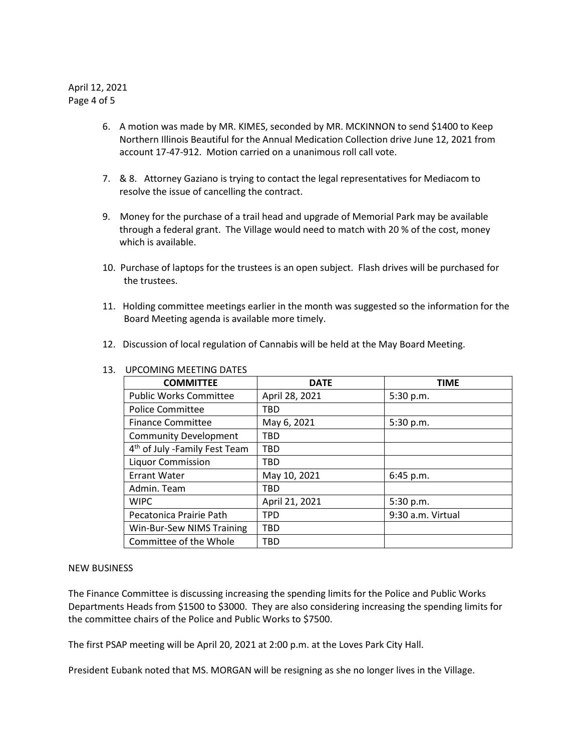April 12, 2021 Page 4 of 5

- 6. A motion was made by MR. KIMES, seconded by MR. MCKINNON to send \$1400 to Keep Northern Illinois Beautiful for the Annual Medication Collection drive June 12, 2021 from account 17-47-912. Motion carried on a unanimous roll call vote.
- 7. & 8. Attorney Gaziano is trying to contact the legal representatives for Mediacom to resolve the issue of cancelling the contract.
- 9. Money for the purchase of a trail head and upgrade of Memorial Park may be available through a federal grant. The Village would need to match with 20 % of the cost, money which is available.
- 10. Purchase of laptops for the trustees is an open subject. Flash drives will be purchased for the trustees.
- 11. Holding committee meetings earlier in the month was suggested so the information for the Board Meeting agenda is available more timely.
- 12. Discussion of local regulation of Cannabis will be held at the May Board Meeting.

| <b>COMMITTEE</b>                          | <b>DATE</b>    | <b>TIME</b>       |
|-------------------------------------------|----------------|-------------------|
| <b>Public Works Committee</b>             | April 28, 2021 | 5:30 p.m.         |
| <b>Police Committee</b>                   | TBD            |                   |
| <b>Finance Committee</b>                  | May 6, 2021    | 5:30 p.m.         |
| <b>Community Development</b>              | TBD            |                   |
| 4 <sup>th</sup> of July -Family Fest Team | <b>TBD</b>     |                   |
| <b>Liquor Commission</b>                  | TBD            |                   |
| Errant Water                              | May 10, 2021   | 6:45 p.m.         |
| Admin. Team                               | <b>TBD</b>     |                   |
| <b>WIPC</b>                               | April 21, 2021 | 5:30 p.m.         |
| Pecatonica Prairie Path                   | <b>TPD</b>     | 9:30 a.m. Virtual |
| Win-Bur-Sew NIMS Training                 | <b>TBD</b>     |                   |
| Committee of the Whole                    | <b>TBD</b>     |                   |

# 13. UPCOMING MEETING DATES

### NEW BUSINESS

The Finance Committee is discussing increasing the spending limits for the Police and Public Works Departments Heads from \$1500 to \$3000. They are also considering increasing the spending limits for the committee chairs of the Police and Public Works to \$7500.

The first PSAP meeting will be April 20, 2021 at 2:00 p.m. at the Loves Park City Hall.

President Eubank noted that MS. MORGAN will be resigning as she no longer lives in the Village.